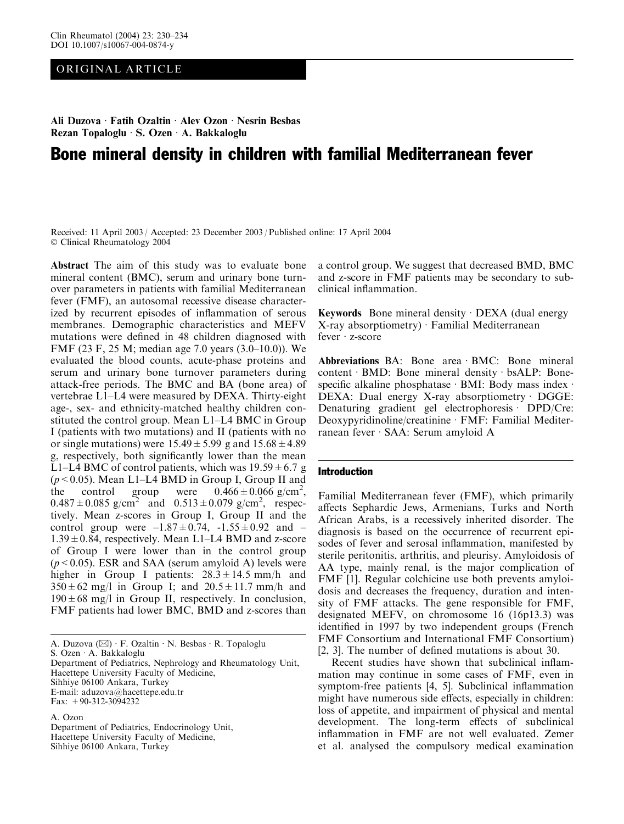# ORIGINAL ARTICLE

Ali Duzova · Fatih Ozaltin · Alev Ozon · Nesrin Besbas Rezan Topaloglu · S. Ozen · A. Bakkaloglu

# Bone mineral density in children with familial Mediterranean fever

Received: 11 April 2003 / Accepted: 23 December 2003 / Published online: 17 April 2004 Clinical Rheumatology 2004

Abstract The aim of this study was to evaluate bone mineral content (BMC), serum and urinary bone turnover parameters in patients with familial Mediterranean fever (FMF), an autosomal recessive disease characterized by recurrent episodes of inflammation of serous membranes. Demographic characteristics and MEFV mutations were defined in 48 children diagnosed with FMF (23 F, 25 M; median age 7.0 years (3.0–10.0)). We evaluated the blood counts, acute-phase proteins and serum and urinary bone turnover parameters during attack-free periods. The BMC and BA (bone area) of vertebrae L1–L4 were measured by DEXA. Thirty-eight age-, sex- and ethnicity-matched healthy children constituted the control group. Mean L1–L4 BMC in Group I (patients with two mutations) and II (patients with no or single mutations) were  $15.49 \pm 5.99$  g and  $15.68 \pm 4.89$ g, respectively, both significantly lower than the mean L1–L4 BMC of control patients, which was  $19.59 \pm 6.7$  g  $(p<0.05)$ . Mean L1–L4 BMD in Group I, Group II and the control group were  $0.466 \pm 0.066$  g/cm<sup>2</sup>,  $0.487 \pm 0.085$  g/cm<sup>2</sup> and  $0.513 \pm 0.079$  g/cm<sup>2</sup>, respectively. Mean z-scores in Group I, Group II and the control group were  $-1.87 \pm 0.74$ ,  $-1.55 \pm 0.92$  and –  $1.39 \pm 0.84$ , respectively. Mean L1–L4 BMD and z-score of Group I were lower than in the control group  $(p<0.05)$ . ESR and SAA (serum amyloid A) levels were higher in Group I patients:  $28.3 \pm 14.5$  mm/h and  $350 \pm 62$  mg/l in Group I; and  $20.5 \pm 11.7$  mm/h and  $190 \pm 68$  mg/l in Group II, respectively. In conclusion, FMF patients had lower BMC, BMD and z-scores than

A. Duzova (⊠) · F. Ozaltin · N. Besbas · R. Topaloglu S. Ozen · A. Bakkaloglu

Department of Pediatrics, Nephrology and Rheumatology Unit, Hacettepe University Faculty of Medicine, Sihhiye 06100 Ankara, Turkey E-mail: aduzova@hacettepe.edu.tr Fax:  $+90-312-3094232$ 

#### A. Ozon

Department of Pediatrics, Endocrinology Unit, Hacettepe University Faculty of Medicine, Sihhiye 06100 Ankara, Turkey

a control group. We suggest that decreased BMD, BMC and z-score in FMF patients may be secondary to subclinical inflammation.

**Keywords** Bone mineral density  $\cdot$  DEXA (dual energy  $X$ -ray absorptiometry)  $\cdot$  Familial Mediterranean  $fever \cdot z-score$ 

Abbreviations BA: Bone area  $BMC$ : Bone mineral  $content \cdot BMD$ : Bone mineral density  $bsALP$ : Bonespecific alkaline phosphatase  $\cdot$  BMI: Body mass index  $\cdot$ DEXA: Dual energy X-ray absorptiometry  $\cdot$  DGGE: Denaturing gradient gel electrophoresis  $DPD/Cre$ :  $Deoxypyridinoline/creatinine · FMF: Familial Mediter$ ranean fever · SAA: Serum amyloid A

## Introduction

Familial Mediterranean fever (FMF), which primarily affects Sephardic Jews, Armenians, Turks and North African Arabs, is a recessively inherited disorder. The diagnosis is based on the occurrence of recurrent episodes of fever and serosal inflammation, manifested by sterile peritonitis, arthritis, and pleurisy. Amyloidosis of AA type, mainly renal, is the major complication of FMF [1]. Regular colchicine use both prevents amyloidosis and decreases the frequency, duration and intensity of FMF attacks. The gene responsible for FMF, designated MEFV, on chromosome 16 (16p13.3) was identified in 1997 by two independent groups (French FMF Consortium and International FMF Consortium) [2, 3]. The number of defined mutations is about 30.

Recent studies have shown that subclinical inflammation may continue in some cases of FMF, even in symptom-free patients [4, 5]. Subclinical inflammation might have numerous side effects, especially in children: loss of appetite, and impairment of physical and mental development. The long-term effects of subclinical inflammation in FMF are not well evaluated. Zemer et al. analysed the compulsory medical examination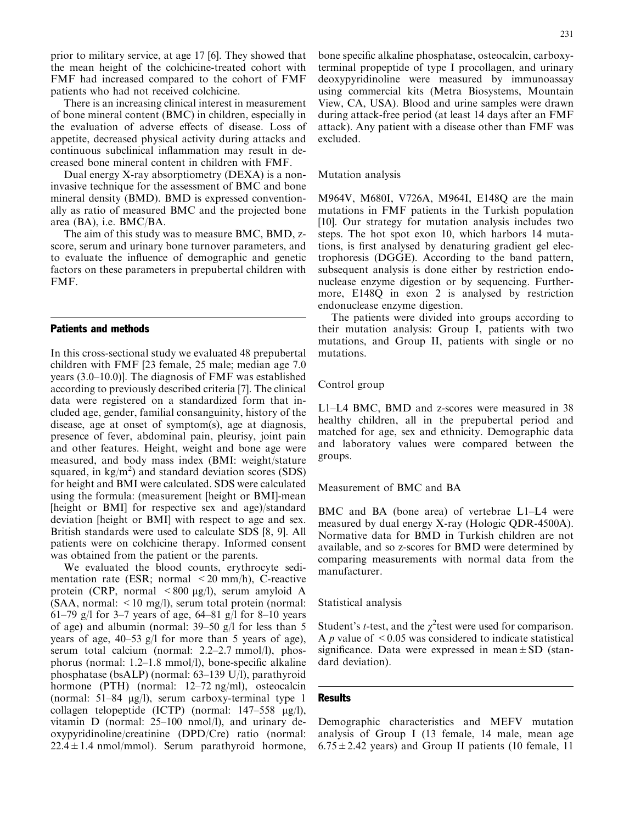prior to military service, at age 17 [6]. They showed that the mean height of the colchicine-treated cohort with FMF had increased compared to the cohort of FMF patients who had not received colchicine.

There is an increasing clinical interest in measurement of bone mineral content (BMC) in children, especially in the evaluation of adverse effects of disease. Loss of appetite, decreased physical activity during attacks and continuous subclinical inflammation may result in decreased bone mineral content in children with FMF.

Dual energy X-ray absorptiometry (DEXA) is a noninvasive technique for the assessment of BMC and bone mineral density (BMD). BMD is expressed conventionally as ratio of measured BMC and the projected bone area (BA), i.e. BMC/BA.

The aim of this study was to measure BMC, BMD, zscore, serum and urinary bone turnover parameters, and to evaluate the influence of demographic and genetic factors on these parameters in prepubertal children with FMF.

### Patients and methods

In this cross-sectional study we evaluated 48 prepubertal children with FMF [23 female, 25 male; median age 7.0 years (3.0–10.0)]. The diagnosis of FMF was established according to previously described criteria [7]. The clinical data were registered on a standardized form that included age, gender, familial consanguinity, history of the disease, age at onset of symptom(s), age at diagnosis, presence of fever, abdominal pain, pleurisy, joint pain and other features. Height, weight and bone age were measured, and body mass index (BMI: weight/stature squared, in  $\text{kg/m}^2$ ) and standard deviation scores (SDS) for height and BMI were calculated. SDS were calculated using the formula: (measurement [height or BMI]-mean [height or BMI] for respective sex and age)/standard deviation [height or BMI] with respect to age and sex. British standards were used to calculate SDS [8, 9]. All patients were on colchicine therapy. Informed consent was obtained from the patient or the parents.

We evaluated the blood counts, erythrocyte sedimentation rate (ESR; normal  $\leq$ 20 mm/h), C-reactive protein (CRP, normal  $\langle 800 \text{ µg/l} \rangle$ , serum amyloid A  $(SAA, normal: < 10$  mg/l), serum total protein (normal: 61–79 g/l for 3–7 years of age, 64–81 g/l for 8–10 years of age) and albumin (normal: 39–50 g/l for less than 5 years of age, 40–53 g/l for more than 5 years of age), serum total calcium (normal: 2.2–2.7 mmol/l), phosphorus (normal: 1.2–1.8 mmol/l), bone-specific alkaline phosphatase (bsALP) (normal: 63–139 U/l), parathyroid hormone (PTH) (normal: 12–72 ng/ml), osteocalcin (normal:  $51-84 \mu g/l$ ), serum carboxy-terminal type 1 collagen telopeptide (ICTP) (normal:  $147-558 \mu g/l$ ), vitamin D (normal: 25–100 nmol/l), and urinary deoxypyridinoline/creatinine (DPD/Cre) ratio (normal:  $22.4 \pm 1.4$  nmol/mmol). Serum parathyroid hormone,

bone specific alkaline phosphatase, osteocalcin, carboxyterminal propeptide of type I procollagen, and urinary deoxypyridinoline were measured by immunoassay using commercial kits (Metra Biosystems, Mountain View, CA, USA). Blood and urine samples were drawn during attack-free period (at least 14 days after an FMF attack). Any patient with a disease other than FMF was excluded.

#### Mutation analysis

M964V, M680I, V726A, M964I, E148Q are the main mutations in FMF patients in the Turkish population [10]. Our strategy for mutation analysis includes two steps. The hot spot exon 10, which harbors 14 mutations, is first analysed by denaturing gradient gel electrophoresis (DGGE). According to the band pattern, subsequent analysis is done either by restriction endonuclease enzyme digestion or by sequencing. Furthermore, E148Q in exon 2 is analysed by restriction endonuclease enzyme digestion.

The patients were divided into groups according to their mutation analysis: Group I, patients with two mutations, and Group II, patients with single or no mutations.

## Control group

L1–L4 BMC, BMD and z-scores were measured in 38 healthy children, all in the prepubertal period and matched for age, sex and ethnicity. Demographic data and laboratory values were compared between the groups.

## Measurement of BMC and BA

BMC and BA (bone area) of vertebrae L1–L4 were measured by dual energy X-ray (Hologic QDR-4500A). Normative data for BMD in Turkish children are not available, and so z-scores for BMD were determined by comparing measurements with normal data from the manufacturer.

Statistical analysis

Student's *t*-test, and the  $\chi^2$  test were used for comparison. A p value of  $\leq 0.05$  was considered to indicate statistical significance. Data were expressed in mean $\pm$ SD (standard deviation).

## Results

Demographic characteristics and MEFV mutation analysis of Group I (13 female, 14 male, mean age  $6.75 \pm 2.42$  years) and Group II patients (10 female, 11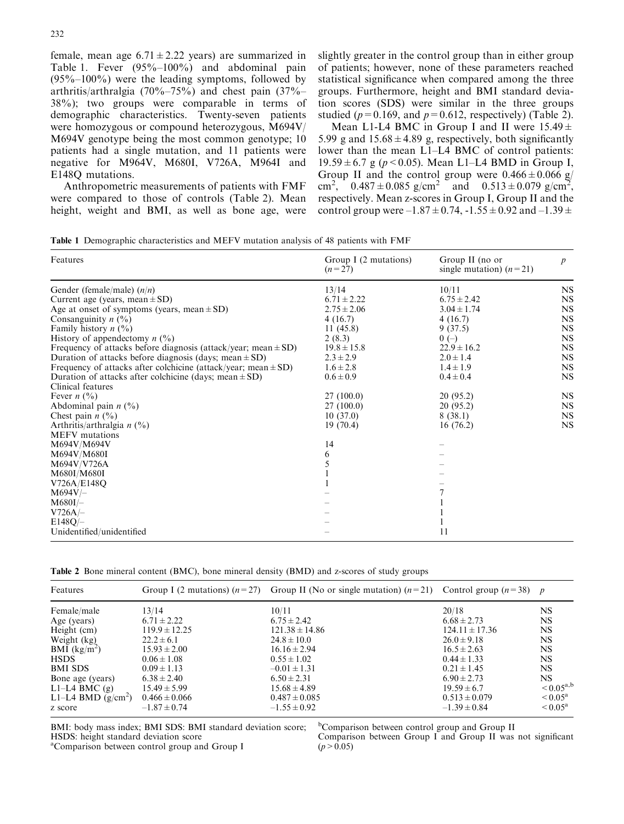female, mean age  $6.71 \pm 2.22$  years) are summarized in Table 1. Fever (95%–100%) and abdominal pain  $(95\%-100\%)$  were the leading symptoms, followed by arthritis/arthralgia (70%–75%) and chest pain (37%– 38%); two groups were comparable in terms of demographic characteristics. Twenty-seven patients were homozygous or compound heterozygous, M694V/ M694V genotype being the most common genotype; 10 patients had a single mutation, and 11 patients were negative for M964V, M680I, V726A, M964I and E148Q mutations.

Anthropometric measurements of patients with FMF were compared to those of controls (Table 2). Mean height, weight and BMI, as well as bone age, were slightly greater in the control group than in either group of patients; however, none of these parameters reached statistical significance when compared among the three groups. Furthermore, height and BMI standard deviation scores (SDS) were similar in the three groups studied ( $p=0.169$ , and  $p=0.612$ , respectively) (Table 2).

Mean L1-L4 BMC in Group I and II were  $15.49 \pm$ 5.99 g and  $15.68 \pm 4.89$  g, respectively, both significantly lower than the mean L1–L4 BMC of control patients:  $19.59 \pm 6.7$  g ( $p < 0.05$ ). Mean L1–L4 BMD in Group I, Group II and the control group were  $0.466 \pm 0.066$  g/ cm<sup>2</sup>, 0.487 ± 0.085 g/cm<sup>2</sup> and 0.513 ± 0.079 g/cm<sup>2</sup>, respectively. Mean z-scores in Group I, Group II and the control group were  $-1.87 \pm 0.74$ ,  $-1.55 \pm 0.92$  and  $-1.39 \pm 0.02$ 

Table 1 Demographic characteristics and MEFV mutation analysis of 48 patients with FMF

| Features                                                           | Group I (2 mutations)<br>$(n=27)$ | Group II (no or<br>single mutation) $(n=21)$ | $\boldsymbol{p}$ |
|--------------------------------------------------------------------|-----------------------------------|----------------------------------------------|------------------|
| Gender (female/male) $(n/n)$                                       | 13/14                             | 10/11                                        | <b>NS</b>        |
| Current age (years, mean $\pm$ SD)                                 | $6.71 \pm 2.22$                   | $6.75 \pm 2.42$                              | <b>NS</b>        |
| Age at onset of symptoms (years, mean $\pm$ SD)                    | $2.75 \pm 2.06$                   | $3.04 \pm 1.74$                              | <b>NS</b>        |
| Consanguinity $n$ (%)                                              | 4(16.7)                           | 4(16.7)                                      | <b>NS</b>        |
| Family history $n$ (%)                                             | 11 $(45.8)$                       | 9(37.5)                                      | <b>NS</b>        |
| History of appendectomy $n$ (%)                                    | 2(8.3)                            | $0(-)$                                       | <b>NS</b>        |
| Frequency of attacks before diagnosis (attack/year; mean $\pm$ SD) | $19.8 \pm 15.8$                   | $22.9 \pm 16.2$                              | <b>NS</b>        |
| Duration of attacks before diagnosis (days; mean $\pm$ SD)         | $2.3 \pm 2.9$                     | $2.0 \pm 1.4$                                | <b>NS</b>        |
| Frequency of attacks after colchicine (attack/year; mean $\pm$ SD) | $1.6 \pm 2.8$                     | $1.4 \pm 1.9$                                | <b>NS</b>        |
| Duration of attacks after colchicine (days; mean $\pm$ SD)         | $0.6 \pm 0.9$                     | $0.4 \pm 0.4$                                | <b>NS</b>        |
| Clinical features                                                  |                                   |                                              |                  |
| Fever $n$ $\left(\frac{0}{0}\right)$                               | 27(100.0)                         | 20(95.2)                                     | <b>NS</b>        |
| Abdominal pain $n$ (%)                                             | 27(100.0)                         | 20(95.2)                                     | <b>NS</b>        |
| Chest pain $n$ (%)                                                 | 10(37.0)                          | 8(38.1)                                      | <b>NS</b>        |
| Arthritis/arthralgia $n$ (%)                                       | 19(70.4)                          | 16(76.2)                                     | <b>NS</b>        |
| <b>MEFV</b> mutations                                              |                                   |                                              |                  |
| M694V/M694V                                                        | 14                                |                                              |                  |
| M694V/M680I                                                        | 6                                 |                                              |                  |
| M694V/V726A                                                        |                                   |                                              |                  |
| M680I/M680I                                                        |                                   |                                              |                  |
| V726A/E148Q                                                        |                                   |                                              |                  |
| $M694V/-$                                                          |                                   |                                              |                  |
| $M680I/-$                                                          |                                   |                                              |                  |
| $V726A/-$                                                          |                                   |                                              |                  |
| $E148Q$ –                                                          |                                   |                                              |                  |
| Unidentified/unidentified                                          |                                   | 11                                           |                  |

Table 2 Bone mineral content (BMC), bone mineral density (BMD) and z-scores of study groups

| Features            |                   | Group I (2 mutations) $(n=27)$ Group II (No or single mutation) $(n=21)$ Control group $(n=38)$ p |                    |                       |
|---------------------|-------------------|---------------------------------------------------------------------------------------------------|--------------------|-----------------------|
| Female/male         | 13/14             | 10/11                                                                                             | 20/18              | <b>NS</b>             |
| Age (years)         | $6.71 \pm 2.22$   | $6.75 \pm 2.42$                                                                                   | $6.68 \pm 2.73$    | <b>NS</b>             |
| Height (cm)         | $119.9 \pm 12.25$ | $121.38 \pm 14.86$                                                                                | $124.11 \pm 17.36$ | <b>NS</b>             |
| Weight (kg)         | $22.2 \pm 6.1$    | $24.8 \pm 10.0$                                                                                   | $26.0 \pm 9.18$    | <b>NS</b>             |
| BMI $(kg/m^2)$      | $15.93 \pm 2.00$  | $16.16 \pm 2.94$                                                                                  | $16.5 \pm 2.63$    | <b>NS</b>             |
| <b>HSDS</b>         | $0.06 \pm 1.08$   | $0.55 \pm 1.02$                                                                                   | $0.44 \pm 1.33$    | <b>NS</b>             |
| <b>BMI SDS</b>      | $0.09 \pm 1.13$   | $-0.01 \pm 1.31$                                                                                  | $0.21 \pm 1.45$    | <b>NS</b>             |
| Bone age (years)    | $6.38 \pm 2.40$   | $6.50 \pm 2.31$                                                                                   | $6.90 \pm 2.73$    | <b>NS</b>             |
| L1-L4 BMC $(g)$     | $15.49 \pm 5.99$  | $15.68 \pm 4.89$                                                                                  | $19.59 \pm 6.7$    | $\leq 0.05^{\rm a,b}$ |
| L1-L4 BMD $(g/cm2)$ | $0.466 \pm 0.066$ | $0.487 \pm 0.085$                                                                                 | $0.513 \pm 0.079$  | $\leq 0.05^{\rm a}$   |
| z score             | $-1.87 \pm 0.74$  | $-1.55 \pm 0.92$                                                                                  | $-1.39 \pm 0.84$   | $\leq 0.05^{\rm a}$   |

BMI: body mass index; BMI SDS: BMI standard deviation score; HSDS: height standard deviation score

<sup>b</sup>Comparison between control group and Group II

<sup>a</sup>Comparison between control group and Group I

Comparison between Group I and Group II was not significant  $(p>0.05)$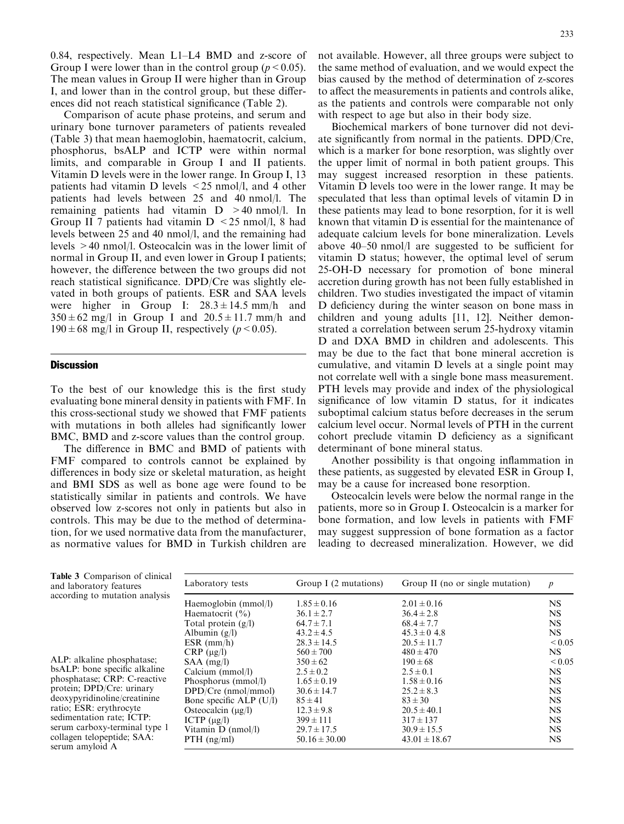0.84, respectively. Mean L1–L4 BMD and z-score of Group I were lower than in the control group ( $p < 0.05$ ). The mean values in Group II were higher than in Group I, and lower than in the control group, but these differences did not reach statistical significance (Table 2).

Comparison of acute phase proteins, and serum and urinary bone turnover parameters of patients revealed (Table 3) that mean haemoglobin, haematocrit, calcium, phosphorus, bsALP and ICTP were within normal limits, and comparable in Group I and II patients. Vitamin D levels were in the lower range. In Group I, 13 patients had vitamin D levels  $\leq$  25 nmol/l, and 4 other patients had levels between 25 and 40 nmol/l. The remaining patients had vitamin D >40 nmol/l. In Group II 7 patients had vitamin  $D \leq 25 \text{ nmol/l}$ , 8 had levels between 25 and 40 nmol/l, and the remaining had levels >40 nmol/l. Osteocalcin was in the lower limit of normal in Group II, and even lower in Group I patients; however, the difference between the two groups did not reach statistical significance. DPD/Cre was slightly elevated in both groups of patients. ESR and SAA levels were higher in Group I:  $28.3 \pm 14.5$  mm/h and  $350 \pm 62$  mg/l in Group I and  $20.5 \pm 11.7$  mm/h and  $190 \pm 68$  mg/l in Group II, respectively ( $p < 0.05$ ).

# **Discussion**

To the best of our knowledge this is the first study evaluating bone mineral density in patients with FMF. In this cross-sectional study we showed that FMF patients with mutations in both alleles had significantly lower BMC, BMD and z-score values than the control group.

The difference in BMC and BMD of patients with FMF compared to controls cannot be explained by differences in body size or skeletal maturation, as height and BMI SDS as well as bone age were found to be statistically similar in patients and controls. We have observed low z-scores not only in patients but also in controls. This may be due to the method of determination, for we used normative data from the manufacturer, as normative values for BMD in Turkish children are

not available. However, all three groups were subject to the same method of evaluation, and we would expect the bias caused by the method of determination of z-scores to affect the measurements in patients and controls alike, as the patients and controls were comparable not only with respect to age but also in their body size.

Biochemical markers of bone turnover did not deviate significantly from normal in the patients. DPD/Cre, which is a marker for bone resorption, was slightly over the upper limit of normal in both patient groups. This may suggest increased resorption in these patients. Vitamin D levels too were in the lower range. It may be speculated that less than optimal levels of vitamin D in these patients may lead to bone resorption, for it is well known that vitamin D is essential for the maintenance of adequate calcium levels for bone mineralization. Levels above 40–50 nmol/l are suggested to be sufficient for vitamin D status; however, the optimal level of serum 25-OH-D necessary for promotion of bone mineral accretion during growth has not been fully established in children. Two studies investigated the impact of vitamin D deficiency during the winter season on bone mass in children and young adults [11, 12]. Neither demonstrated a correlation between serum 25-hydroxy vitamin D and DXA BMD in children and adolescents. This may be due to the fact that bone mineral accretion is cumulative, and vitamin D levels at a single point may not correlate well with a single bone mass measurement. PTH levels may provide and index of the physiological significance of low vitamin D status, for it indicates suboptimal calcium status before decreases in the serum calcium level occur. Normal levels of PTH in the current cohort preclude vitamin D deficiency as a significant determinant of bone mineral status.

Another possibility is that ongoing inflammation in these patients, as suggested by elevated ESR in Group I, may be a cause for increased bone resorption.

Osteocalcin levels were below the normal range in the patients, more so in Group I. Osteocalcin is a marker for bone formation, and low levels in patients with FMF may suggest suppression of bone formation as a factor leading to decreased mineralization. However, we did

| on of clinical<br>tures | Laboratory tests          | Group I (2 mutations) | Group II (no or single mutation) | $\boldsymbol{p}$ |
|-------------------------|---------------------------|-----------------------|----------------------------------|------------------|
| tion analysis           | Haemoglobin (mmol/l)      | $1.85 \pm 0.16$       | $2.01 \pm 0.16$                  | NS.              |
|                         | Haematocrit $(\% )$       | $36.1 \pm 2.7$        | $36.4 \pm 2.8$                   | NS.              |
|                         | Total protein $(g/l)$     | $64.7 \pm 7.1$        | $68.4 \pm 7.7$                   | NS.              |
|                         | Albumin $(g/l)$           | $43.2 \pm 4.5$        | $45.3 \pm 0.4.8$                 | NS.              |
|                         | $ESR$ (mm/h)              | $28.3 \pm 14.5$       | $20.5 \pm 11.7$                  | ${}_{0.05}$      |
|                         | $CRP (\mu g/l)$           | $560 \pm 700$         | $480 \pm 470$                    | NS.              |
| sphatase:               | $SAA$ (mg/l)              | $350 \pm 62$          | $190 \pm 68$                     | ${}_{0.05}$      |
| fic alkaline            | Calcium (mmol/l)          | $2.5 \pm 0.2$         | $2.5 \pm 0.1$                    | NS.              |
| : C-reactive            | Phosphorus (mmol/l)       | $1.65 \pm 0.19$       | $1.58 \pm 0.16$                  | <b>NS</b>        |
| urinary                 | $DPD/Cre$ (nmol/mmol)     | $30.6 \pm 14.7$       | $25.2 \pm 8.3$                   | NS.              |
| creatinine              | Bone specific ALP $(U/I)$ | $85 \pm 41$           | $83 \pm 30$                      | <b>NS</b>        |
| ocyte                   | Osteocalcin $(\mu g/l)$   | $12.3 \pm 9.8$        | $20.5 \pm 40.1$                  | <b>NS</b>        |
| $\cdot$ ICTP:           | ICTP $(\mu g/l)$          | $399 \pm 111$         | $317 \pm 137$                    | NS.              |
| ninal type 1            | Vitamin D (nmol/l)        | $29.7 \pm 17.5$       | $30.9 \pm 15.5$                  | NS.              |
| e; SAA:                 | $PTH$ (ng/ml)             | $50.16 \pm 30.00$     | $43.01 \pm 18.67$                | NS.              |
|                         |                           |                       |                                  |                  |

Table 3 Comparison and laboratory fea according to mutat

 $ALP: alkaline, phos$  $b$ s $ALP:$  bone speci phosphatase; CRP protein; DPD/Cre: deoxypyridinoline/ ratio; ESR: erythro sedimentation rate serum carboxy-tern collagen telopeptid serum amyloid A